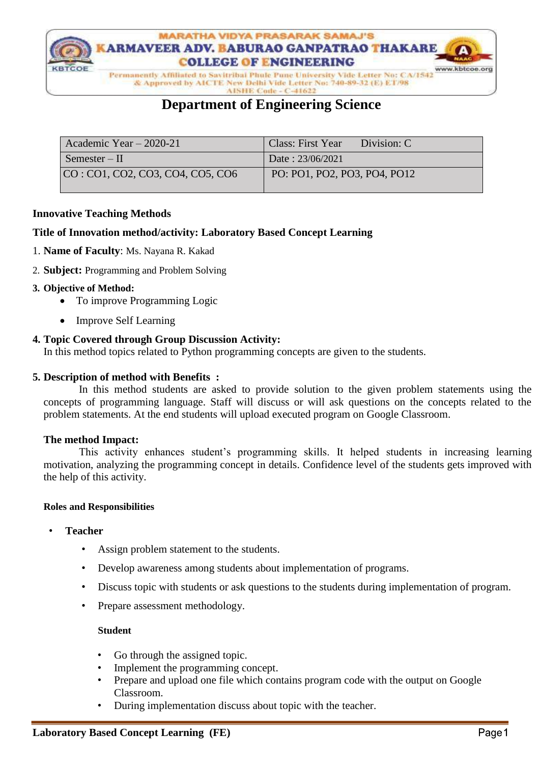

& Approved by AICTE New Delhi Vide Letter No: 740-89-32 (E) ET/98

AISHE Code - C-41622

## **Department of Engineering Science**

| Academic Year $-2020-21$         | <b>Class: First Year</b><br>Division: C |
|----------------------------------|-----------------------------------------|
| Semester – $\Pi$                 | Date: 23/06/2021                        |
| CO: CO1, CO2, CO3, CO4, CO5, CO6 | PO: PO1, PO2, PO3, PO4, PO12            |

#### **Innovative Teaching Methods**

## **Title of Innovation method/activity: Laboratory Based Concept Learning**

- 1. **Name of Faculty**: Ms. Nayana R. Kakad
- 2. **Subject:** Programming and Problem Solving

#### **3. Objective of Method:**

- To improve Programming Logic
- Improve Self Learning

#### **4. Topic Covered through Group Discussion Activity:**

In this method topics related to Python programming concepts are given to the students.

### **5. Description of method with Benefits :**

 In this method students are asked to provide solution to the given problem statements using the concepts of programming language. Staff will discuss or will ask questions on the concepts related to the problem statements. At the end students will upload executed program on Google Classroom.

## **The method Impact:**

 This activity enhances student's programming skills. It helped students in increasing learning motivation, analyzing the programming concept in details. Confidence level of the students gets improved with the help of this activity.

#### **Roles and Responsibilities**

- **Teacher**
	- Assign problem statement to the students.
	- Develop awareness among students about implementation of programs.
	- Discuss topic with students or ask questions to the students during implementation of program.
	- Prepare assessment methodology.

#### **Student**

- Go through the assigned topic.
- Implement the programming concept.
- Prepare and upload one file which contains program code with the output on Google Classroom.
- During implementation discuss about topic with the teacher.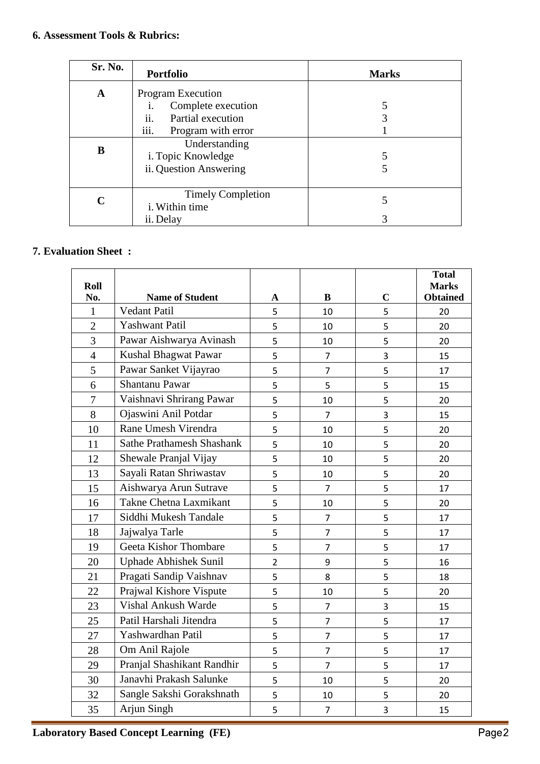| Sr. No. | Portfolio                  | <b>Marks</b> |
|---------|----------------------------|--------------|
| A       | <b>Program Execution</b>   |              |
|         | Complete execution<br>1.   |              |
|         | ii.<br>Partial execution   |              |
|         | iii.<br>Program with error |              |
| B       | Understanding              |              |
|         | i. Topic Knowledge         |              |
|         | ii. Question Answering     |              |
|         |                            |              |
| C       | <b>Timely Completion</b>   | 5            |
|         | i. Within time             |              |
|         | ii. Delay                  |              |

## **7. Evaluation Sheet :**

| Roll           |                                  |                |                |                | <b>Total</b><br><b>Marks</b> |
|----------------|----------------------------------|----------------|----------------|----------------|------------------------------|
| No.            | <b>Name of Student</b>           | A              | B              | $\overline{C}$ | <b>Obtained</b>              |
| 1              | <b>Vedant Patil</b>              | 5              | 10             | 5              | 20                           |
| $\overline{2}$ | <b>Yashwant Patil</b>            | 5              | 10             | 5              | 20                           |
| 3              | Pawar Aishwarya Avinash          | 5              | 10             | 5              | 20                           |
| $\overline{4}$ | Kushal Bhagwat Pawar             | 5              | $\overline{7}$ | 3              | 15                           |
| 5              | Pawar Sanket Vijayrao            | 5              | $\overline{7}$ | 5              | 17                           |
| 6              | Shantanu Pawar                   | 5              | 5              | 5              | 15                           |
| $\overline{7}$ | Vaishnavi Shrirang Pawar         | 5              | 10             | 5              | 20                           |
| 8              | Ojaswini Anil Potdar             | 5              | $\overline{7}$ | 3              | 15                           |
| 10             | Rane Umesh Virendra              | 5              | 10             | 5              | 20                           |
| 11             | <b>Sathe Prathamesh Shashank</b> | 5              | 10             | 5              | 20                           |
| 12             | Shewale Pranjal Vijay            | 5              | 10             | 5              | 20                           |
| 13             | Sayali Ratan Shriwastav          | 5              | 10             | 5              | 20                           |
| 15             | Aishwarya Arun Sutrave           | 5              | $\overline{7}$ | 5              | 17                           |
| 16             | Takne Chetna Laxmikant           | 5              | 10             | 5              | 20                           |
| 17             | Siddhi Mukesh Tandale            | 5              | $\overline{7}$ | 5              | 17                           |
| 18             | Jajwalya Tarle                   | 5              | $\overline{7}$ | 5              | 17                           |
| 19             | Geeta Kishor Thombare            | 5              | $\overline{7}$ | 5              | 17                           |
| 20             | Uphade Abhishek Sunil            | $\overline{2}$ | 9              | 5              | 16                           |
| 21             | Pragati Sandip Vaishnav          | 5              | 8              | 5              | 18                           |
| 22             | Prajwal Kishore Vispute          | 5              | 10             | 5              | 20                           |
| 23             | Vishal Ankush Warde              | 5              | $\overline{7}$ | 3              | 15                           |
| 25             | Patil Harshali Jitendra          | 5              | $\overline{7}$ | 5              | 17                           |
| 27             | Yashwardhan Patil                | 5              | $\overline{7}$ | 5              | 17                           |
| 28             | Om Anil Rajole                   | 5              | $\overline{7}$ | 5              | 17                           |
| 29             | Pranjal Shashikant Randhir       | 5              | $\overline{7}$ | 5              | 17                           |
| 30             | Janavhi Prakash Salunke          | 5              | 10             | 5              | 20                           |
| 32             | Sangle Sakshi Gorakshnath        | 5              | 10             | 5              | 20                           |
| 35             | Arjun Singh                      | 5              | $\overline{7}$ | 3              | 15                           |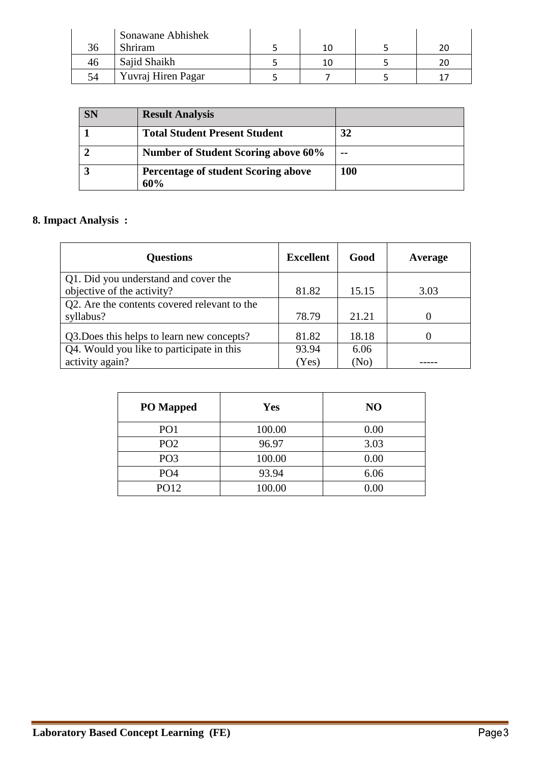|    | Sonawane Abhishek  |  |  |
|----|--------------------|--|--|
| 30 | Shriram            |  |  |
| 40 | Sajid Shaikh       |  |  |
| 54 | Yuvraj Hiren Pagar |  |  |

| <b>SN</b> | <b>Result Analysis</b>                            |     |
|-----------|---------------------------------------------------|-----|
|           | <b>Total Student Present Student</b>              | 32  |
|           | <b>Number of Student Scoring above 60%</b>        | --  |
|           | <b>Percentage of student Scoring above</b><br>60% | 100 |

# **8. Impact Analysis :**

| <b>Questions</b>                             | <b>Excellent</b> | Good  | Average |
|----------------------------------------------|------------------|-------|---------|
| Q1. Did you understand and cover the         |                  |       |         |
| objective of the activity?                   | 81.82            | 15.15 | 3.03    |
| Q2. Are the contents covered relevant to the |                  |       |         |
| syllabus?                                    | 78.79            | 21.21 |         |
| Q3. Does this helps to learn new concepts?   | 81.82            | 18.18 |         |
| Q4. Would you like to participate in this    | 93.94            | 6.06  |         |
| activity again?                              | (Yes)            | (No)  |         |

| <b>PO</b> Mapped | <b>Yes</b> | N <sub>O</sub> |
|------------------|------------|----------------|
| PO <sub>1</sub>  | 100.00     | 0.00           |
| PO <sub>2</sub>  | 96.97      | 3.03           |
| PO <sub>3</sub>  | 100.00     | 0.00           |
| PO <sub>4</sub>  | 93.94      | 6.06           |
| PO12             | 100.00     | 0.00           |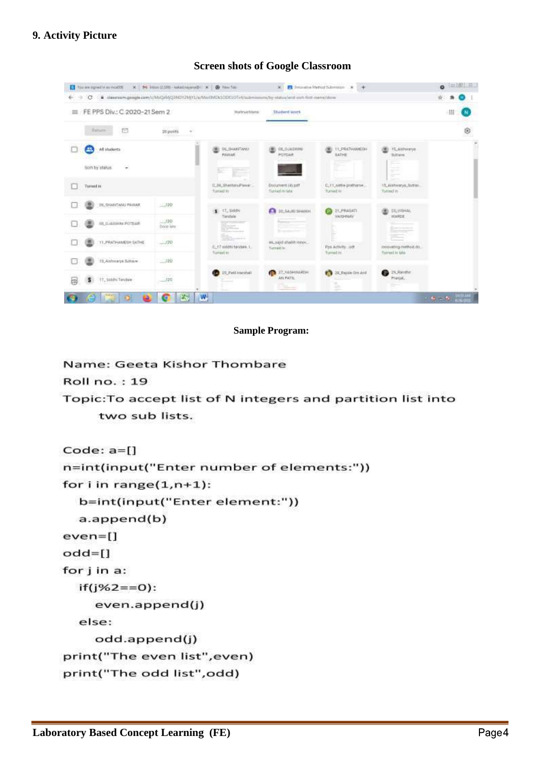## **9. Activity Picture**



#### **Screen shots of Google Classroom**

#### **Sample Program:**

Name: Geeta Kishor Thombare

**Roll no.: 19** 

Topic: To accept list of N integers and partition list into two sub lists.

```
Code: a=[]n=int(input("Enter number of elements:"))
for i in range(1, n+1):
  b=int(input("Enter element:"))
  a.append(b)even=[]odd = []for j in a:
  if(j\%2 == 0):even.append(j)
  else:
    odd.append(j)
print("The even list", even)
print("The odd list", odd)
```